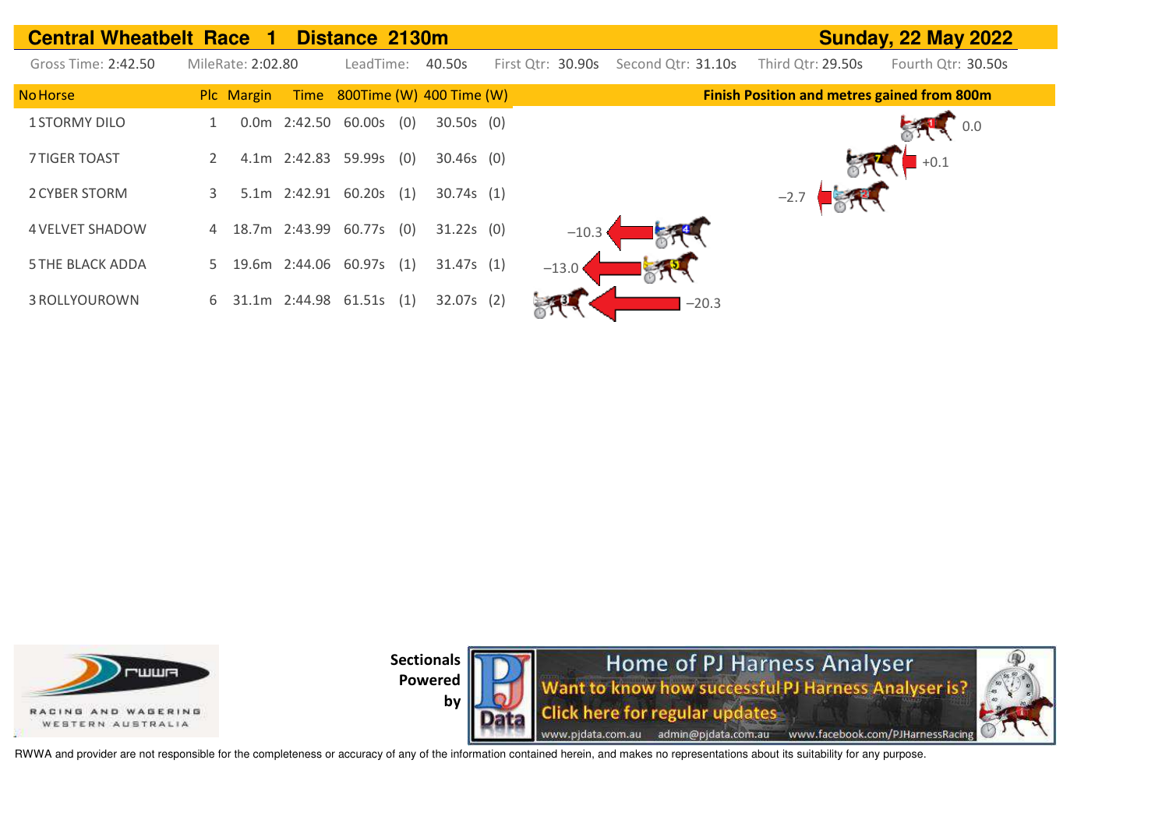| <b>Central Wheatbelt Race 1</b> |   |                   |               | Distance 2130m         |     |                               |                   |                    |                   | <b>Sunday, 22 May 2022</b>                         |  |
|---------------------------------|---|-------------------|---------------|------------------------|-----|-------------------------------|-------------------|--------------------|-------------------|----------------------------------------------------|--|
| Gross Time: 2:42.50             |   | MileRate: 2:02.80 |               | LeadTime:              |     | 40.50s                        | First Qtr: 30.90s | Second Qtr: 31.10s | Third Otr: 29.50s | Fourth Qtr: 30.50s                                 |  |
| <b>No Horse</b>                 |   | Plc Margin        |               |                        |     | Time 800Time (W) 400 Time (W) |                   |                    |                   | <b>Finish Position and metres gained from 800m</b> |  |
| <b>1 STORMY DILO</b>            |   | 0.0m              | 2:42.50       | 60.00s                 | (0) | $30.50s$ (0)                  |                   |                    |                   | 0.0                                                |  |
| <b>7 TIGER TOAST</b>            |   |                   |               | 4.1m 2:42.83 59.99s    | (0) | $30.46s$ (0)                  |                   |                    |                   | $+0.1$                                             |  |
| 2 CYBER STORM                   | 3 |                   |               | 5.1m 2:42.91 60.20s    | (1) | 30.74s(1)                     |                   |                    | $-2.7$            |                                                    |  |
| <b>4 VELVET SHADOW</b>          |   |                   |               | 4 18.7m 2:43.99 60.77s | (0) | $31.22s$ (0)                  | $-10.3$           |                    |                   |                                                    |  |
| <b>5 THE BLACK ADDA</b>         | 5 |                   | 19.6m 2:44.06 | 60.97s                 | (1) | 31.47s(1)                     | $-13.0$           |                    |                   |                                                    |  |
| 3 ROLLYOUROWN                   | 6 |                   |               | 31.1m 2:44.98 61.51s   | (1) | $32.07s$ (2)                  |                   | $-20.3$            |                   |                                                    |  |







RWWA and provider are not responsible for the completeness or accuracy of any of the information contained herein, and makes no representations about its suitability for any purpose.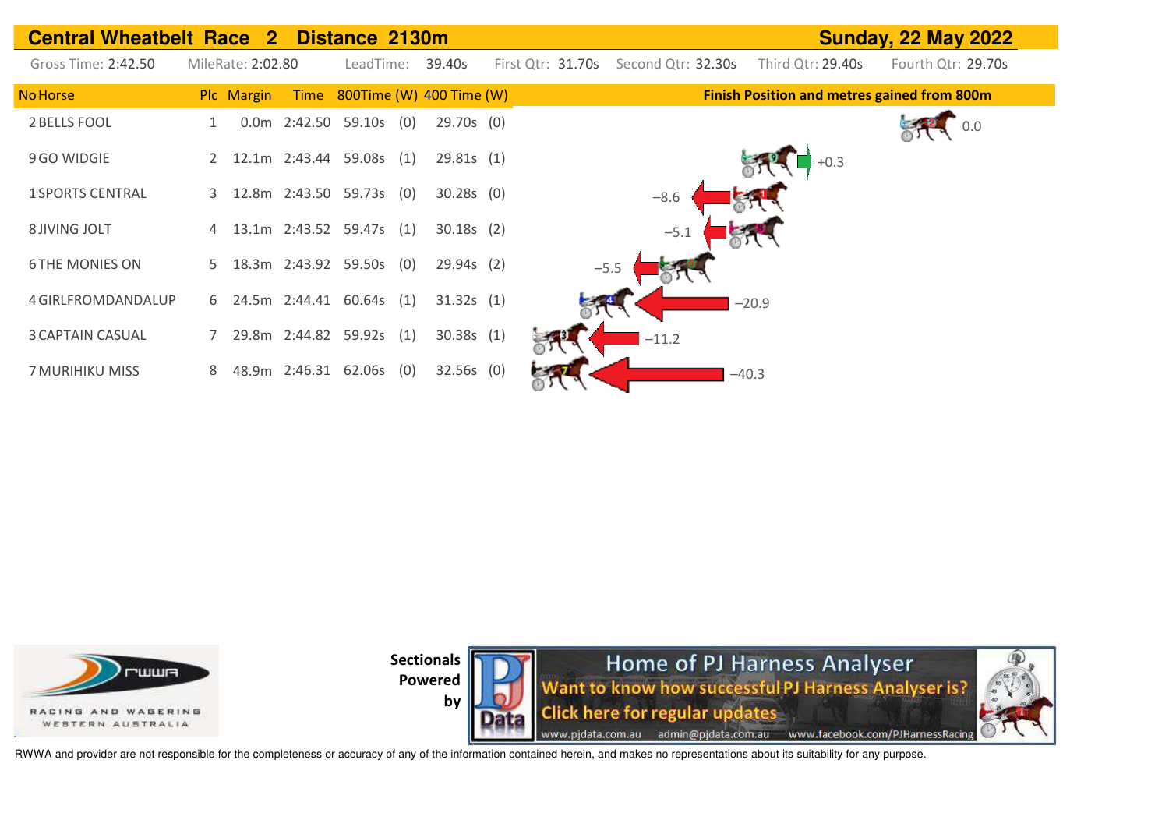| <b>Central Wheatbelt Race</b> | $\mathbf{2}$      | Distance 2130m                |              |                                         |                   | <b>Sunday, 22 May 2022</b>                         |
|-------------------------------|-------------------|-------------------------------|--------------|-----------------------------------------|-------------------|----------------------------------------------------|
| Gross Time: 2:42.50           | MileRate: 2:02.80 | LeadTime:                     | 39.40s       | First Qtr: 31.70s<br>Second Qtr: 32.30s | Third Qtr: 29.40s | Fourth Qtr: 29.70s                                 |
| No Horse                      | Plc Margin        | Time 800Time (W) 400 Time (W) |              |                                         |                   | <b>Finish Position and metres gained from 800m</b> |
| 2 BELLS FOOL                  |                   | 0.0m 2:42.50 59.10s (0)       | 29.70s (0)   |                                         |                   |                                                    |
| 9 GO WIDGIE                   | 2                 | 12.1m 2:43.44 59.08s (1)      | 29.81s(1)    |                                         |                   | $+0.3$                                             |
| <b>1 SPORTS CENTRAL</b>       | 3                 | 12.8m 2:43.50 59.73s (0)      | $30.28s$ (0) | $-8.6$                                  |                   |                                                    |
| 8 JIVING JOLT                 | 4                 | 13.1m 2:43.52 59.47s (1)      | $30.18s$ (2) | $-5.1$                                  |                   |                                                    |
| <b>6 THE MONIES ON</b>        | 5                 | 18.3m 2:43.92 59.50s (0)      | $29.94s$ (2) | $-5.5$                                  |                   |                                                    |
| 4 GIRLFROMDANDALUP            |                   | 6 24.5m 2:44.41 60.64s (1)    | 31.32s(1)    |                                         | $-20.9$           |                                                    |
| <b>3 CAPTAIN CASUAL</b>       |                   | 29.8m 2:44.82 59.92s (1)      | 30.38s(1)    | $-11.2$                                 |                   |                                                    |
| 7 MURIHIKU MISS               | 8                 | 48.9m 2:46.31 62.06s (0)      | $32.56s$ (0) |                                         | $-40.3$           |                                                    |





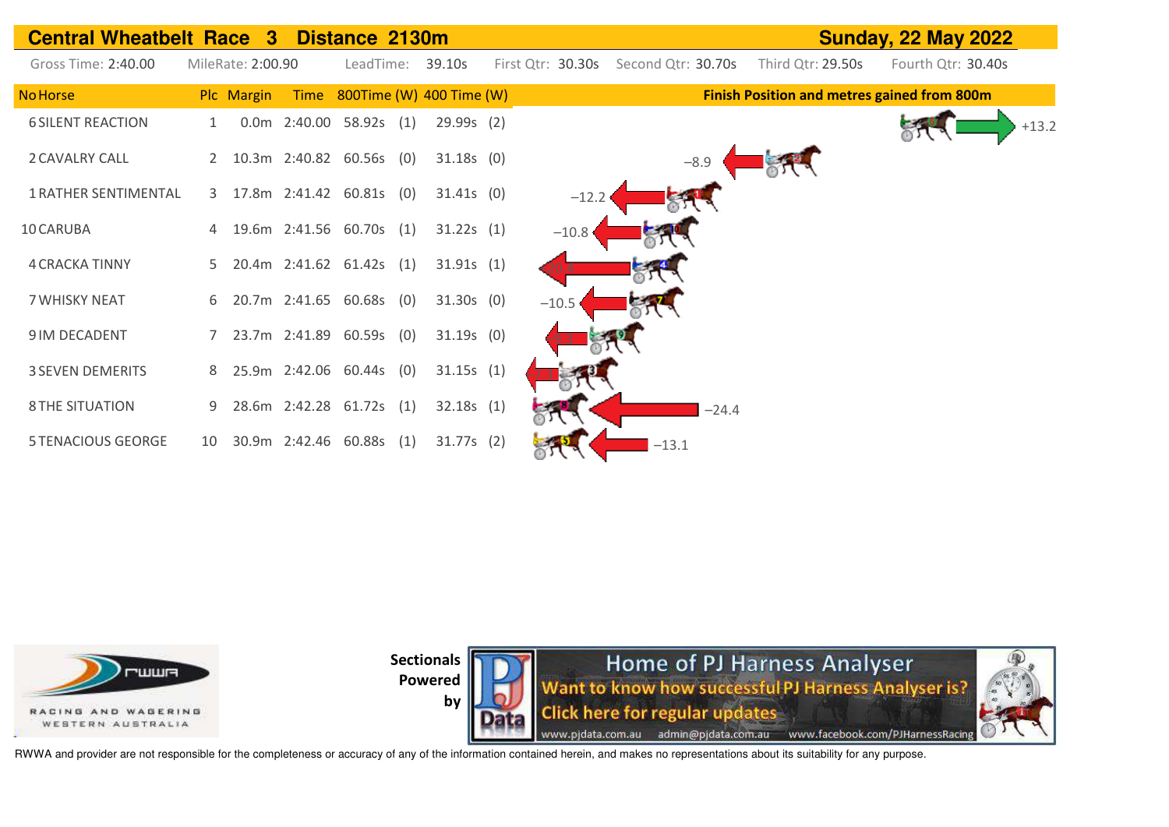



Home of PJ Harness Analyser Want to know how successful PJ Harness Analyser is? **Click here for regular updates** www.pjdata.com.au admin@pjdata.com.au www.facebook.com/PJHarnessRacing



RWWA and provider are not responsible for the completeness or accuracy of any of the information contained herein, and makes no representations about its suitability for any purpose.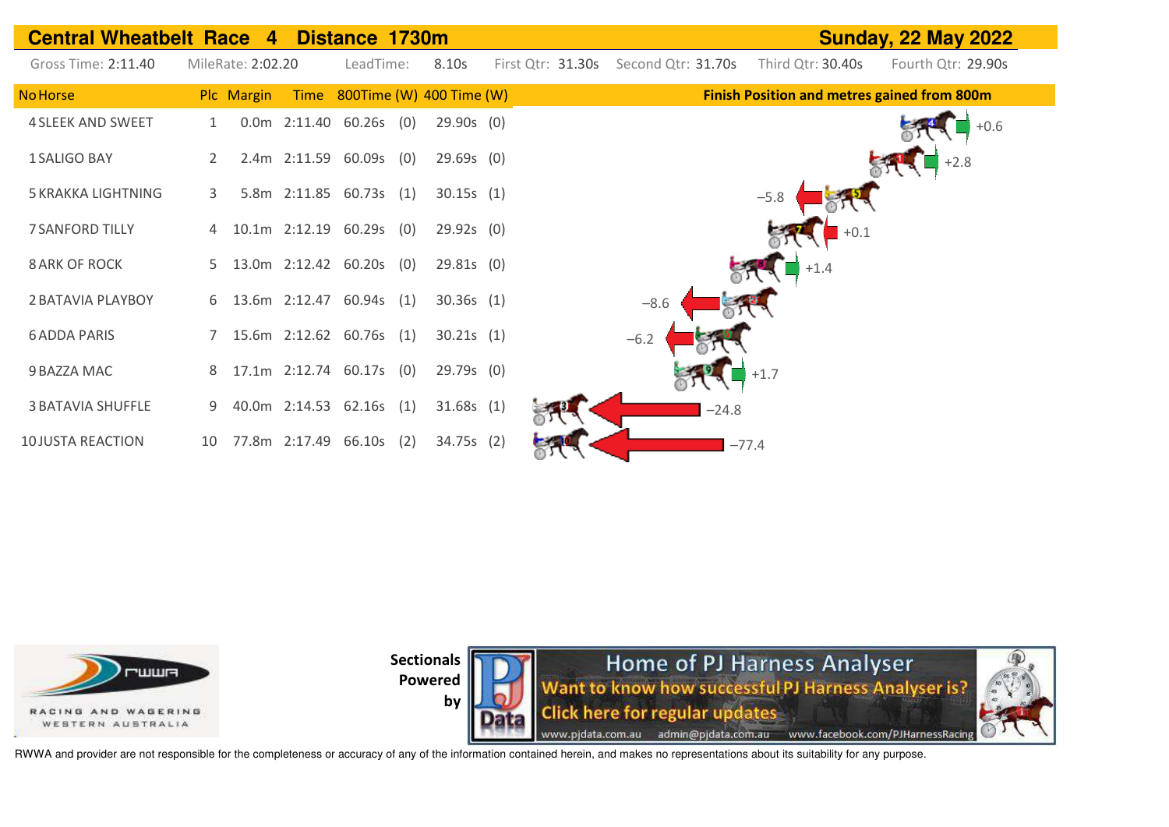



**by** 

Home of PJ Harness Analyser Want to know how successful PJ Harness Analyser is? **Click here for regular updates** www.pjdata.com.au admin@pjdata.com.au www.facebook.com/PJHarnessRacing

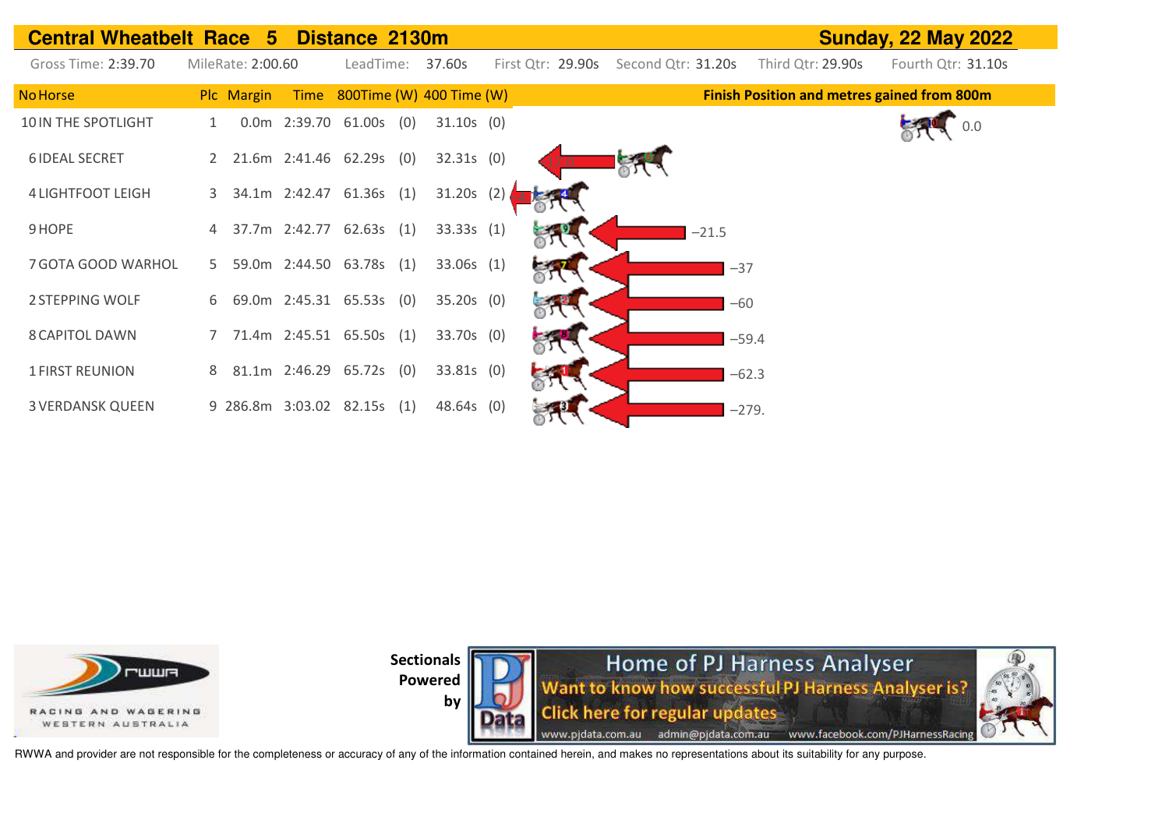| <b>Central Wheatbelt Race 5 Distance 2130m</b> |   |                   |               |                             |                          |     |                   |                    |         |                                                    | <b>Sunday, 22 May 2022</b> |
|------------------------------------------------|---|-------------------|---------------|-----------------------------|--------------------------|-----|-------------------|--------------------|---------|----------------------------------------------------|----------------------------|
| Gross Time: 2:39.70                            |   | MileRate: 2:00.60 |               |                             | LeadTime: 37.60s         |     | First Qtr: 29.90s | Second Qtr: 31.20s |         | Third Qtr: 29.90s                                  | Fourth Qtr: 31.10s         |
| <b>No Horse</b>                                |   | Plc Margin        | Time          |                             | 800Time (W) 400 Time (W) |     |                   |                    |         | <b>Finish Position and metres gained from 800m</b> |                            |
| 10 IN THE SPOTLIGHT                            |   |                   |               | 0.0m 2:39.70 61.00s (0)     | $31.10s$ (0)             |     |                   |                    |         |                                                    | 0.0                        |
| <b>6 IDEAL SECRET</b>                          |   |                   |               | 2 21.6m 2:41.46 62.29s (0)  | $32.31s$ (0)             |     |                   |                    |         |                                                    |                            |
| <b>4 LIGHTFOOT LEIGH</b>                       | 3 |                   |               | 34.1m 2:42.47 61.36s (1)    | 31.20s                   | (2) |                   |                    |         |                                                    |                            |
| 9 HOPE                                         |   |                   | 37.7m 2:42.77 | 62.63s(1)                   | 33.33s(1)                |     |                   |                    | $-21.5$ |                                                    |                            |
| 7 GOTA GOOD WARHOL                             | 5 |                   |               | 59.0m 2:44.50 63.78s (1)    | 33.06s (1)               |     |                   |                    | $-37$   |                                                    |                            |
| 2 STEPPING WOLF                                |   |                   |               | 6 69.0m 2:45.31 65.53s (0)  | $35.20s$ (0)             |     |                   |                    |         | $-60$                                              |                            |
| <b>8 CAPITOL DAWN</b>                          |   |                   |               | 71.4m 2:45.51 65.50s (1)    | 33.70s (0)               |     |                   |                    |         | $-59.4$                                            |                            |
| <b>1 FIRST REUNION</b>                         | 8 |                   |               | 81.1m 2:46.29 65.72s (0)    | 33.81s (0)               |     |                   |                    |         | $-62.3$                                            |                            |
| <b>3 VERDANSK QUEEN</b>                        |   |                   |               | 9 286.8m 3:03.02 82.15s (1) | 48.64s (0)               |     |                   |                    |         | $-279.$                                            |                            |



**Sectionals** 



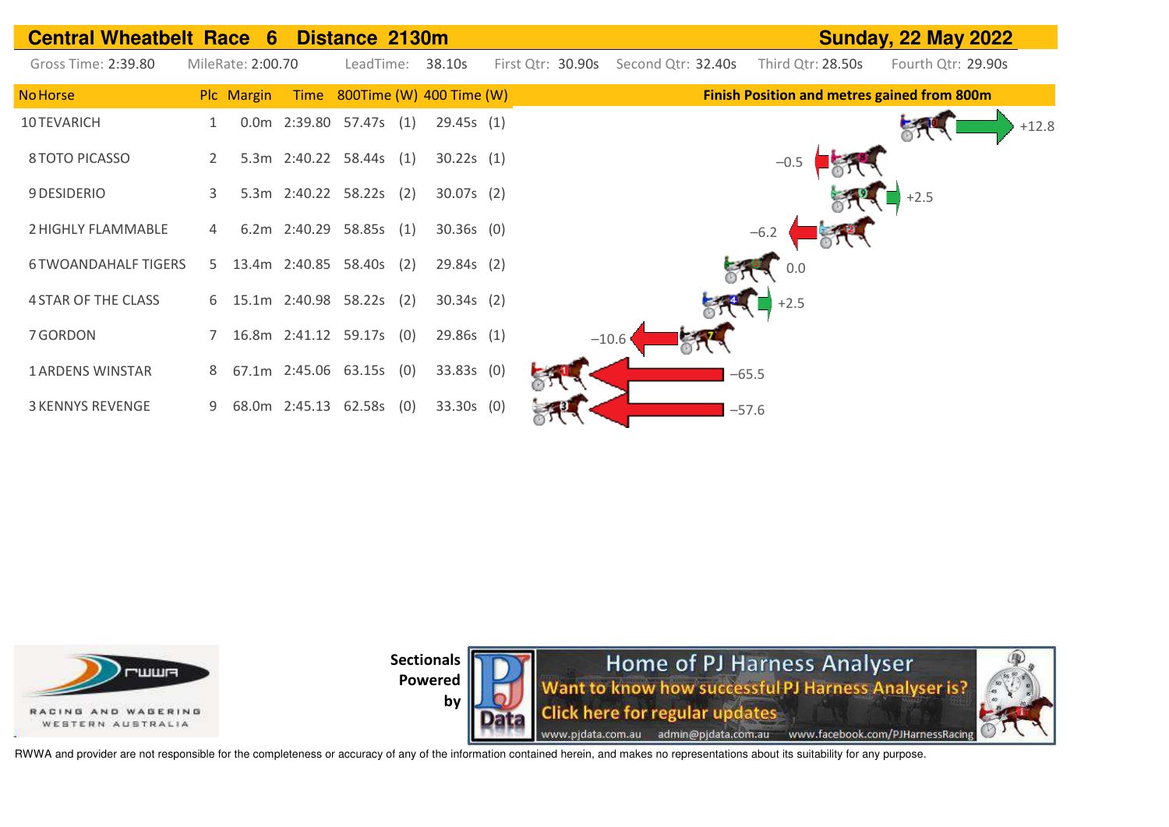| <b>Central Wheatbelt Race 6</b> |    |                   |      | Distance 2130m             |                          |                   |                    |         |                   | <b>Sunday, 22 May 2022</b>                         |         |
|---------------------------------|----|-------------------|------|----------------------------|--------------------------|-------------------|--------------------|---------|-------------------|----------------------------------------------------|---------|
| Gross Time: 2:39.80             |    | MileRate: 2:00.70 |      | LeadTime:                  | 38.10s                   | First Qtr: 30.90s | Second Qtr: 32.40s |         | Third Qtr: 28.50s | Fourth Qtr: 29.90s                                 |         |
| <b>No Horse</b>                 |    | Plc Margin        | Time |                            | 800Time (W) 400 Time (W) |                   |                    |         |                   | <b>Finish Position and metres gained from 800m</b> |         |
| 10 TEVARICH                     |    |                   |      | 0.0m 2:39.80 57.47s (1)    | 29.45s (1)               |                   |                    |         |                   |                                                    | $+12.8$ |
| 8 TOTO PICASSO                  | 2  |                   |      | 5.3m 2:40.22 58.44s (1)    | 30.22s(1)                |                   |                    |         | $-0.5$            |                                                    |         |
| 9 DESIDERIO                     |    |                   |      | 5.3m 2:40.22 58.22s (2)    | $30.07s$ (2)             |                   |                    |         |                   | $+2.5$                                             |         |
| 2 HIGHLY FLAMMABLE              | 4  |                   |      | 6.2m 2:40.29 58.85s (1)    | $30.36s$ (0)             |                   |                    |         | $-6.2$            |                                                    |         |
| <b>6 TWOANDAHALF TIGERS</b>     | 5. |                   |      | 13.4m 2:40.85 58.40s (2)   | 29.84s(2)                |                   |                    |         | 0.0               |                                                    |         |
| <b>4 STAR OF THE CLASS</b>      |    |                   |      | 6 15.1m 2:40.98 58.22s (2) | $30.34s$ (2)             |                   |                    |         | $+2.5$            |                                                    |         |
| 7 GORDON                        |    |                   |      | 7 16.8m 2:41.12 59.17s (0) | 29.86s(1)                |                   | $-10.6$            |         |                   |                                                    |         |
| <b>1 ARDENS WINSTAR</b>         | 8  |                   |      | 67.1m 2:45.06 63.15s (0)   | 33.83s (0)               |                   |                    | $-65.5$ |                   |                                                    |         |
| <b>3 KENNYS REVENGE</b>         | 9  |                   |      | 68.0m 2:45.13 62.58s (0)   | $33.30s$ (0)             |                   |                    | $-57.6$ |                   |                                                    |         |



**Sectionals** 



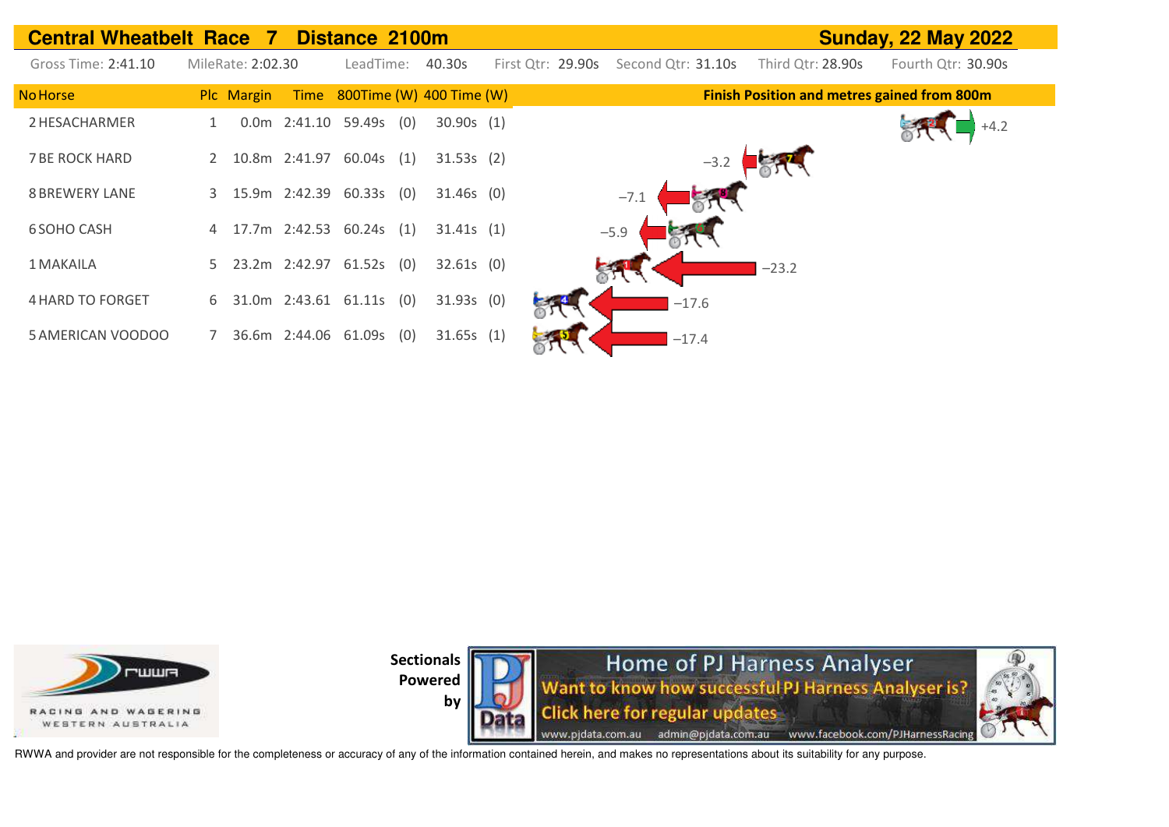| <b>Central Wheatbelt Race 7</b> |   |                   |               | Distance 2100m             |                               |                   |                    |        |                                                    | <b>Sunday, 22 May 2022</b> |  |
|---------------------------------|---|-------------------|---------------|----------------------------|-------------------------------|-------------------|--------------------|--------|----------------------------------------------------|----------------------------|--|
| Gross Time: 2:41.10             |   | MileRate: 2:02.30 |               | LeadTime:                  | 40.30s                        | First Qtr: 29.90s | Second Qtr: 31.10s |        | Third Qtr: 28.90s                                  | Fourth Qtr: 30.90s         |  |
| <b>No Horse</b>                 |   | Plc Margin        |               |                            | Time 800Time (W) 400 Time (W) |                   |                    |        | <b>Finish Position and metres gained from 800m</b> |                            |  |
| 2 HESACHARMER                   |   |                   |               | $0.0m$ 2:41.10 59.49s (0)  | 30.90s(1)                     |                   |                    |        |                                                    |                            |  |
| <b>7 BE ROCK HARD</b>           |   |                   | 10.8m 2:41.97 | $60.04s$ (1)               | 31.53s(2)                     |                   |                    | $-3.2$ |                                                    |                            |  |
| <b>8 BREWERY LANE</b>           | 3 |                   |               | 15.9m 2:42.39 60.33s (0)   | $31.46s$ (0)                  |                   | $-7.1$             |        |                                                    |                            |  |
| <b>6 SOHO CASH</b>              |   |                   |               | 17.7m 2:42.53 60.24s (1)   | 31.41s(1)                     |                   | $-5.9$             |        |                                                    |                            |  |
| 1 MAKAILA                       |   |                   |               | 5 23.2m 2:42.97 61.52s (0) | $32.61s$ (0)                  |                   |                    |        | $-23.2$                                            |                            |  |
| <b>4 HARD TO FORGET</b>         | 6 |                   |               | 31.0m 2:43.61 61.11s (0)   | $31.93s$ (0)                  |                   | $-17.6$            |        |                                                    |                            |  |
| 5 AMERICAN VOODOO               |   |                   |               | 36.6m 2:44.06 61.09s (0)   | 31.65s(1)                     |                   | $-17.4$            |        |                                                    |                            |  |







RWWA and provider are not responsible for the completeness or accuracy of any of the information contained herein, and makes no representations about its suitability for any purpose.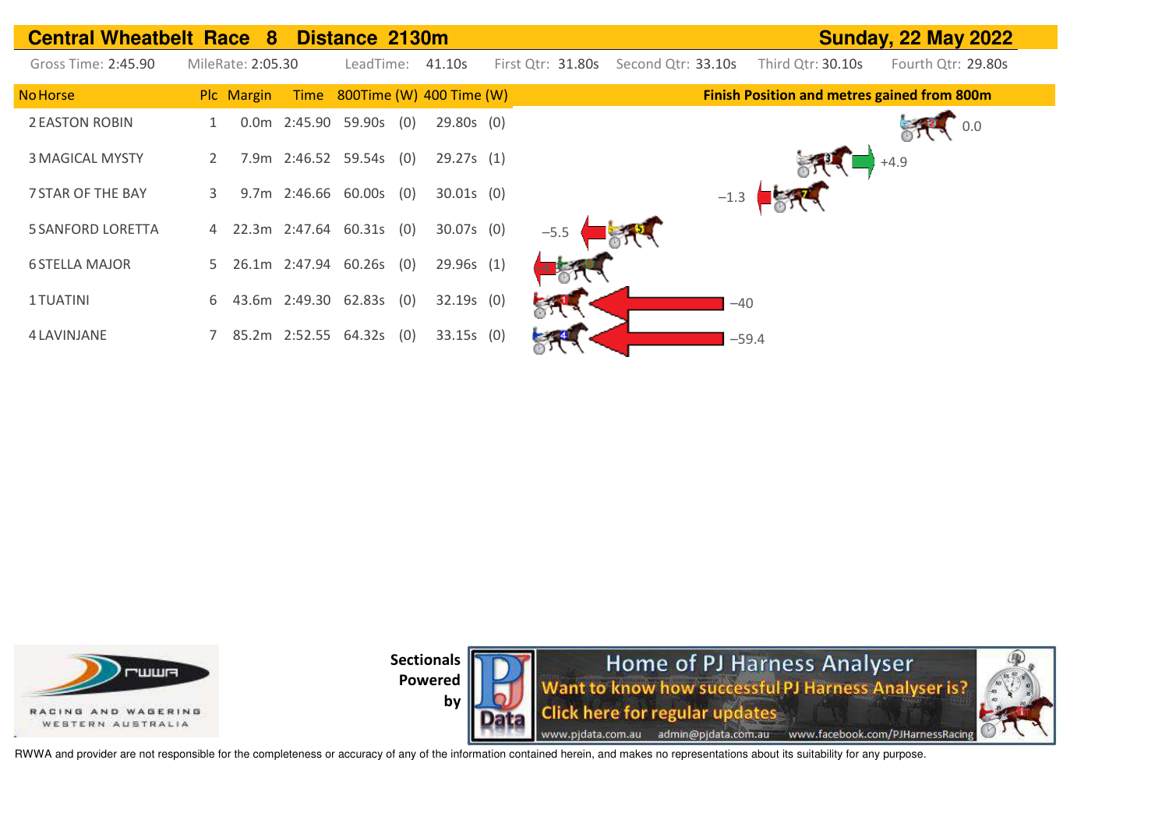| <b>Central Wheatbelt Race 8 Distance 2130m</b> |                   |                     |                          |              |                   |        |                    |         |                                                    | <b>Sunday, 22 May 2022</b> |  |
|------------------------------------------------|-------------------|---------------------|--------------------------|--------------|-------------------|--------|--------------------|---------|----------------------------------------------------|----------------------------|--|
| Gross Time: 2:45.90                            | MileRate: 2:05.30 |                     | LeadTime:                | 41.10s       | First Qtr: 31.80s |        | Second Qtr: 33.10s |         | Third Qtr: 30.10s                                  | Fourth Qtr: 29.80s         |  |
| <b>No Horse</b>                                | Plc Margin        | Time                | 800Time (W) 400 Time (W) |              |                   |        |                    |         | <b>Finish Position and metres gained from 800m</b> |                            |  |
| <b>2 EASTON ROBIN</b>                          |                   |                     | 0.0m 2:45.90 59.90s (0)  | $29.80s$ (0) |                   |        |                    |         |                                                    | 0.0                        |  |
| <b>3 MAGICAL MYSTY</b>                         | $\mathbf{2}$      |                     | 7.9m 2:46.52 59.54s (0)  | 29.27s(1)    |                   |        |                    |         |                                                    | $+4.9$                     |  |
| 7 STAR OF THE BAY                              | 3                 | 9.7m 2:46.66 60.00s | (0)                      | $30.01s$ (0) |                   |        |                    | $-1.3$  |                                                    |                            |  |
| <b>5 SANFORD LORETTA</b>                       | 4 22.3m 2:47.64   |                     | 60.31s<br>(0)            | $30.07s$ (0) |                   | $-5.5$ |                    |         |                                                    |                            |  |
| <b>6 STELLA MAJOR</b>                          | 5 26.1m 2:47.94   |                     | 60.26s<br>(0)            | 29.96s(1)    |                   |        |                    |         |                                                    |                            |  |
| 1 TUATINI                                      | 6                 | 43.6m 2:49.30       | 62.83s<br>(0)            | $32.19s$ (0) |                   |        |                    | $-40$   |                                                    |                            |  |
| 4 LAVINJANE                                    |                   | 85.2m 2:52.55       | 64.32s<br>(0)            | $33.15s$ (0) |                   |        |                    | $-59.4$ |                                                    |                            |  |



**by**